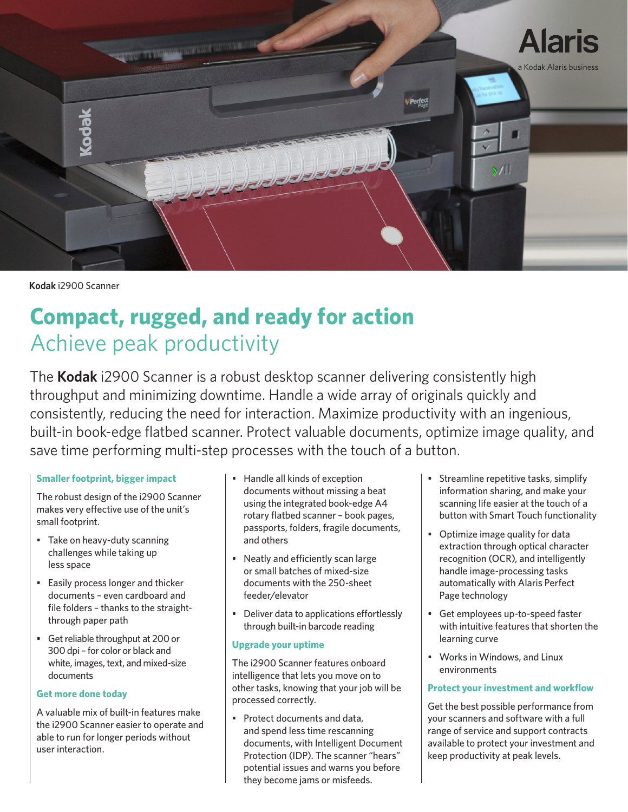

**Kodak** i2900 Scanner

# **Compact, rugged, and ready for action** Achieve peak productivity

The **Kodak** i2900 Scanner is a robust desktop scanner delivering consistently high throughput and minimizing downtime. Handle a wide array of originals quickly and consistently, reducing the need for interaction. Maximize productivity with an ingenious, built-in book-edge flatbed scanner. Protect valuable documents, optimize image quality, and save time performing multi-step processes with the touch of a button.

# **Smaller footprint, bigger impact**

The robust design of the i2900 Scanner makes very effective use of the unit's small footprint.

- Take on heavy-duty scanning challenges while taking up less space
- Easily process longer and thicker documents – even cardboard and file folders – thanks to the straightthrough paper path
- Get reliable throughput at 200 or 300 dpi – for color or black and white, images, text, and mixed-size documents

### **Get more done today**

A valuable mix of built-in features make the i2900 Scanner easier to operate and able to run for longer periods without user interaction.

- Handle all kinds of exception documents without missing a beat using the integrated book-edge A4 rotary flatbed scanner – book pages, passports, folders, fragile documents, and others
- Neatly and efficiently scan large or small batches of mixed-size documents with the 250-sheet feeder/elevator
- Deliver data to applications effortlessly through built-in barcode reading

# **Upgrade your uptime**

The i2900 Scanner features onboard intelligence that lets you move on to other tasks, knowing that your job will be processed correctly.

• Protect documents and data, and spend less time rescanning documents, with Intelligent Document Protection (IDP). The scanner "hears" potential issues and warns you before they become jams or misfeeds.

- Streamline repetitive tasks, simplify information sharing, and make your scanning life easier at the touch of a button with Smart Touch functionality
- Optimize image quality for data extraction through optical character recognition (OCR), and intelligently handle image-processing tasks automatically with Alaris Perfect Page technology
- Get employees up-to-speed faster with intuitive features that shorten the learning curve
- Works in Windows, and Linux environments

# **Protect your investment and workflow**

Get the best possible performance from your scanners and software with a full range of service and support contracts available to protect your investment and keep productivity at peak levels.